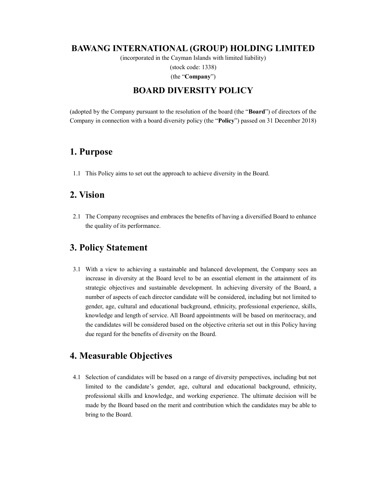#### BAWANG INTERNATIONAL (GROUP) HOLDING LIMITED

(incorporated in the Cayman Islands with limited liability)

(stock code: 1338)

(the "Company")

#### BOARD DIVERSITY POLICY

(adopted by the Company pursuant to the resolution of the board (the "Board") of directors of the Company in connection with a board diversity policy (the "Policy") passed on 31 December 2018)

### 1. Purpose

1.1 This Policy aims to set out the approach to achieve diversity in the Board.

### 2. Vision

2.1 The Company recognises and embraces the benefits of having a diversified Board to enhance the quality of its performance.

## 3. Policy Statement

3.1 With a view to achieving a sustainable and balanced development, the Company sees an increase in diversity at the Board level to be an essential element in the attainment of its strategic objectives and sustainable development. In achieving diversity of the Board, a number of aspects of each director candidate will be considered, including but not limited to gender, age, cultural and educational background, ethnicity, professional experience, skills, knowledge and length of service. All Board appointments will be based on meritocracy, and the candidates will be considered based on the objective criteria set out in this Policy having due regard for the benefits of diversity on the Board.

## 4. Measurable Objectives

4.1 Selection of candidates will be based on a range of diversity perspectives, including but not limited to the candidate's gender, age, cultural and educational background, ethnicity, professional skills and knowledge, and working experience. The ultimate decision will be made by the Board based on the merit and contribution which the candidates may be able to bring to the Board.